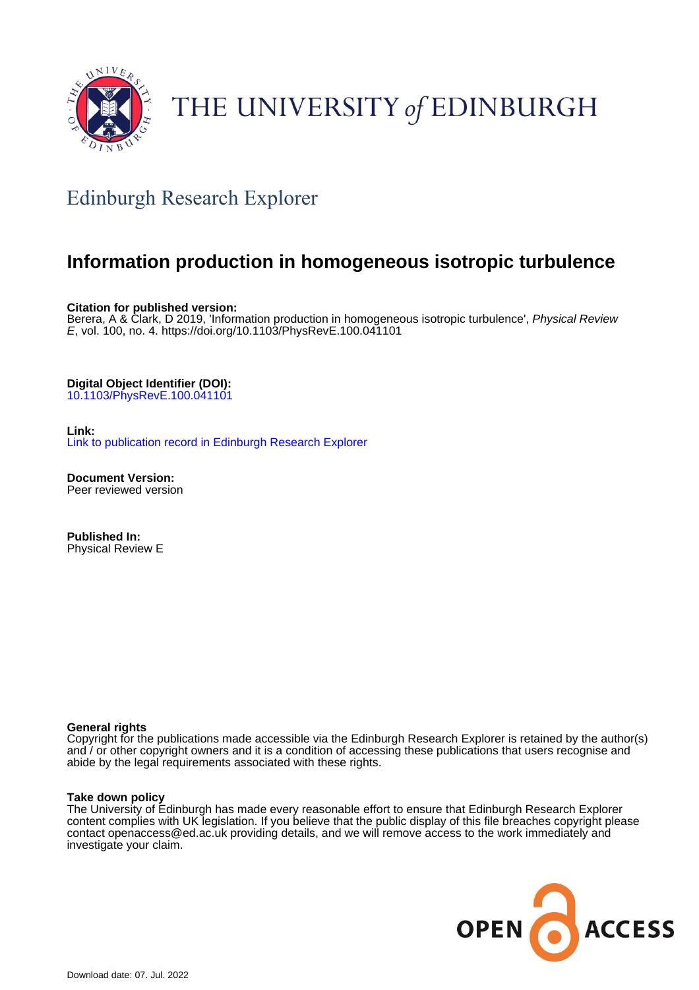

# THE UNIVERSITY of EDINBURGH

# Edinburgh Research Explorer

## **Information production in homogeneous isotropic turbulence**

**Citation for published version:**

Berera, A & Clark, D 2019, 'Information production in homogeneous isotropic turbulence', Physical Review E, vol. 100, no. 4. <https://doi.org/10.1103/PhysRevE.100.041101>

**Digital Object Identifier (DOI):**

[10.1103/PhysRevE.100.041101](https://doi.org/10.1103/PhysRevE.100.041101)

**Link:**

[Link to publication record in Edinburgh Research Explorer](https://www.research.ed.ac.uk/en/publications/e212cdfb-f6bd-4cea-af6e-d091ba578c5b)

**Document Version:** Peer reviewed version

**Published In:** Physical Review E

### **General rights**

Copyright for the publications made accessible via the Edinburgh Research Explorer is retained by the author(s) and / or other copyright owners and it is a condition of accessing these publications that users recognise and abide by the legal requirements associated with these rights.

### **Take down policy**

The University of Edinburgh has made every reasonable effort to ensure that Edinburgh Research Explorer content complies with UK legislation. If you believe that the public display of this file breaches copyright please contact openaccess@ed.ac.uk providing details, and we will remove access to the work immediately and investigate your claim.

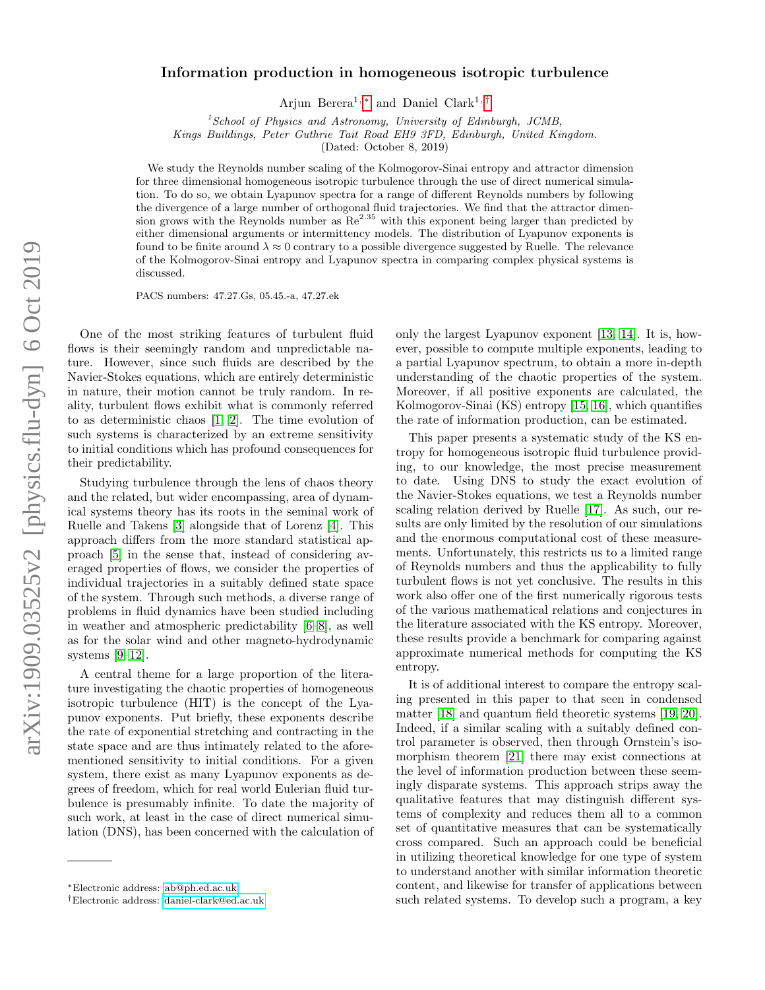# arXiv:1909.03525v2 [physics.flu-dyn] 6 Oct 2019 arXiv:1909.03525v2 [physics.flu-dyn] 6 Oct 2019

### Information production in homogeneous isotropic turbulence

Arjun Berera<sup>1, [∗](#page-1-0)</sup> and Daniel Clark<sup>1, [†](#page-1-1)</sup>

 $1$ School of Physics and Astronomy, University of Edinburgh, JCMB,

Kings Buildings, Peter Guthrie Tait Road EH9 3FD, Edinburgh, United Kingdom.

(Dated: October 8, 2019)

We study the Reynolds number scaling of the Kolmogorov-Sinai entropy and attractor dimension for three dimensional homogeneous isotropic turbulence through the use of direct numerical simulation. To do so, we obtain Lyapunov spectra for a range of different Reynolds numbers by following the divergence of a large number of orthogonal fluid trajectories. We find that the attractor dimension grows with the Reynolds number as  $\mathbb{R}e^{2.35}$  with this exponent being larger than predicted by either dimensional arguments or intermittency models. The distribution of Lyapunov exponents is found to be finite around  $\lambda \approx 0$  contrary to a possible divergence suggested by Ruelle. The relevance of the Kolmogorov-Sinai entropy and Lyapunov spectra in comparing complex physical systems is discussed.

PACS numbers: 47.27.Gs, 05.45.-a, 47.27.ek

One of the most striking features of turbulent fluid flows is their seemingly random and unpredictable nature. However, since such fluids are described by the Navier-Stokes equations, which are entirely deterministic in nature, their motion cannot be truly random. In reality, turbulent flows exhibit what is commonly referred to as deterministic chaos [\[1,](#page-5-0) [2\]](#page-5-1). The time evolution of such systems is characterized by an extreme sensitivity to initial conditions which has profound consequences for their predictability.

Studying turbulence through the lens of chaos theory and the related, but wider encompassing, area of dynamical systems theory has its roots in the seminal work of Ruelle and Takens [\[3\]](#page-5-2) alongside that of Lorenz [\[4\]](#page-5-3). This approach differs from the more standard statistical approach [\[5\]](#page-5-4) in the sense that, instead of considering averaged properties of flows, we consider the properties of individual trajectories in a suitably defined state space of the system. Through such methods, a diverse range of problems in fluid dynamics have been studied including in weather and atmospheric predictability [\[6–](#page-5-5)[8\]](#page-5-6), as well as for the solar wind and other magneto-hydrodynamic systems [\[9–](#page-5-7)[12\]](#page-5-8).

A central theme for a large proportion of the literature investigating the chaotic properties of homogeneous isotropic turbulence (HIT) is the concept of the Lyapunov exponents. Put briefly, these exponents describe the rate of exponential stretching and contracting in the state space and are thus intimately related to the aforementioned sensitivity to initial conditions. For a given system, there exist as many Lyapunov exponents as degrees of freedom, which for real world Eulerian fluid turbulence is presumably infinite. To date the majority of such work, at least in the case of direct numerical simulation (DNS), has been concerned with the calculation of only the largest Lyapunov exponent [\[13,](#page-5-9) [14\]](#page-5-10). It is, however, possible to compute multiple exponents, leading to a partial Lyapunov spectrum, to obtain a more in-depth understanding of the chaotic properties of the system. Moreover, if all positive exponents are calculated, the Kolmogorov-Sinai (KS) entropy [\[15,](#page-5-11) [16\]](#page-5-12), which quantifies the rate of information production, can be estimated.

This paper presents a systematic study of the KS entropy for homogeneous isotropic fluid turbulence providing, to our knowledge, the most precise measurement to date. Using DNS to study the exact evolution of the Navier-Stokes equations, we test a Reynolds number scaling relation derived by Ruelle [\[17\]](#page-5-13). As such, our results are only limited by the resolution of our simulations and the enormous computational cost of these measurements. Unfortunately, this restricts us to a limited range of Reynolds numbers and thus the applicability to fully turbulent flows is not yet conclusive. The results in this work also offer one of the first numerically rigorous tests of the various mathematical relations and conjectures in the literature associated with the KS entropy. Moreover, these results provide a benchmark for comparing against approximate numerical methods for computing the KS entropy.

It is of additional interest to compare the entropy scaling presented in this paper to that seen in condensed matter [\[18\]](#page-5-14) and quantum field theoretic systems [\[19,](#page-5-15) [20\]](#page-6-0). Indeed, if a similar scaling with a suitably defined control parameter is observed, then through Ornstein's isomorphism theorem [\[21\]](#page-6-1) there may exist connections at the level of information production between these seemingly disparate systems. This approach strips away the qualitative features that may distinguish different systems of complexity and reduces them all to a common set of quantitative measures that can be systematically cross compared. Such an approach could be beneficial in utilizing theoretical knowledge for one type of system to understand another with similar information theoretic content, and likewise for transfer of applications between such related systems. To develop such a program, a key

<span id="page-1-0"></span><sup>∗</sup>Electronic address: [ab@ph.ed.ac.uk](mailto:ab@ph.ed.ac.uk)

<span id="page-1-1"></span><sup>†</sup>Electronic address: [daniel-clark@ed.ac.uk](mailto:daniel-clark@ed.ac.uk)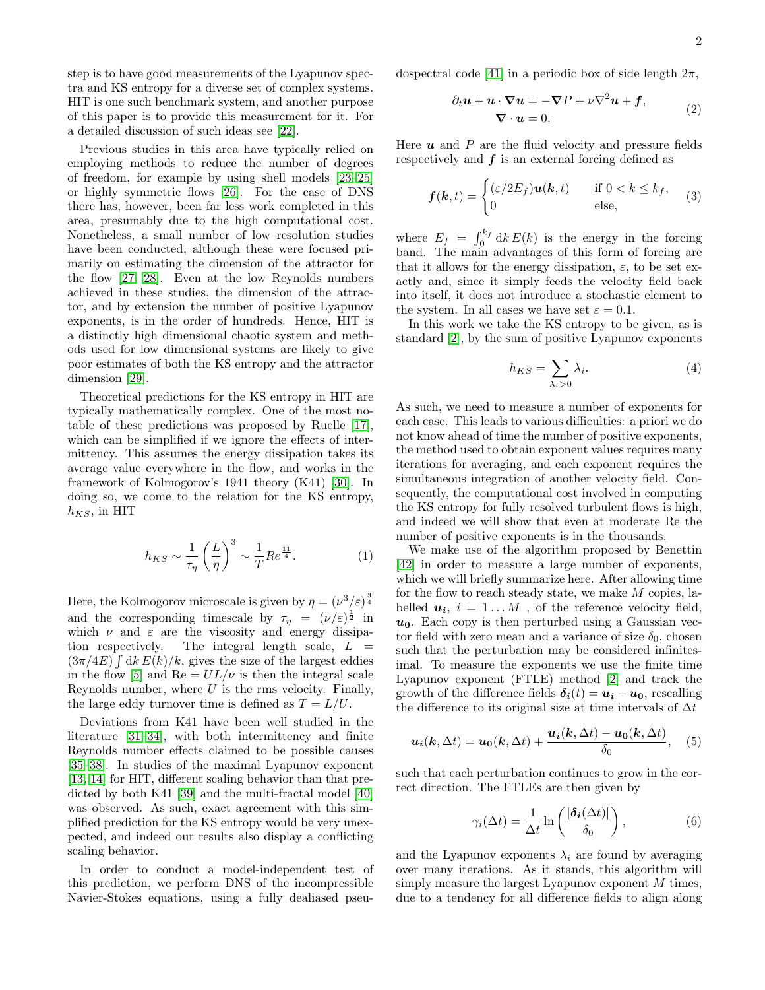step is to have good measurements of the Lyapunov spectra and KS entropy for a diverse set of complex systems. HIT is one such benchmark system, and another purpose of this paper is to provide this measurement for it. For a detailed discussion of such ideas see [\[22\]](#page-6-2).

Previous studies in this area have typically relied on employing methods to reduce the number of degrees of freedom, for example by using shell models [\[23](#page-6-3)[–25\]](#page-6-4) or highly symmetric flows [\[26\]](#page-6-5). For the case of DNS there has, however, been far less work completed in this area, presumably due to the high computational cost. Nonetheless, a small number of low resolution studies have been conducted, although these were focused primarily on estimating the dimension of the attractor for the flow [\[27,](#page-6-6) [28\]](#page-6-7). Even at the low Reynolds numbers achieved in these studies, the dimension of the attractor, and by extension the number of positive Lyapunov exponents, is in the order of hundreds. Hence, HIT is a distinctly high dimensional chaotic system and methods used for low dimensional systems are likely to give poor estimates of both the KS entropy and the attractor dimension [\[29\]](#page-6-8).

Theoretical predictions for the KS entropy in HIT are typically mathematically complex. One of the most notable of these predictions was proposed by Ruelle [\[17\]](#page-5-13), which can be simplified if we ignore the effects of intermittency. This assumes the energy dissipation takes its average value everywhere in the flow, and works in the framework of Kolmogorov's 1941 theory (K41) [\[30\]](#page-6-9). In doing so, we come to the relation for the KS entropy,  $h_{KS}$ , in HIT

$$
h_{KS} \sim \frac{1}{\tau_{\eta}} \left(\frac{L}{\eta}\right)^3 \sim \frac{1}{T} Re^{\frac{11}{4}}.
$$
 (1)

Here, the Kolmogorov microscale is given by  $\eta = (\nu^3/\varepsilon)^{\frac{3}{4}}$ and the corresponding timescale by  $\tau_{\eta} = (\nu/\varepsilon)^{\frac{1}{2}}$  in which  $\nu$  and  $\varepsilon$  are the viscosity and energy dissipation respectively. The integral length scale,  $L =$  $(3\pi/4E)$   $\int dk E(k)/k$ , gives the size of the largest eddies in the flow [\[5\]](#page-5-4) and  $\text{Re} = UL/\nu$  is then the integral scale Reynolds number, where  $U$  is the rms velocity. Finally, the large eddy turnover time is defined as  $T = L/U$ .

Deviations from K41 have been well studied in the literature [\[31–](#page-6-10)[34\]](#page-6-11), with both intermittency and finite Reynolds number effects claimed to be possible causes [\[35–](#page-6-12)[38\]](#page-6-13). In studies of the maximal Lyapunov exponent [\[13,](#page-5-9) [14\]](#page-5-10) for HIT, different scaling behavior than that predicted by both K41 [\[39\]](#page-6-14) and the multi-fractal model [\[40\]](#page-6-15) was observed. As such, exact agreement with this simplified prediction for the KS entropy would be very unexpected, and indeed our results also display a conflicting scaling behavior.

In order to conduct a model-independent test of this prediction, we perform DNS of the incompressible Navier-Stokes equations, using a fully dealiased pseudospectral code [\[41\]](#page-6-16) in a periodic box of side length  $2\pi$ ,

$$
\partial_t \mathbf{u} + \mathbf{u} \cdot \nabla \mathbf{u} = -\nabla P + \nu \nabla^2 \mathbf{u} + \mathbf{f},
$$
  

$$
\nabla \cdot \mathbf{u} = 0.
$$
 (2)

Here  $\boldsymbol{u}$  and  $\boldsymbol{P}$  are the fluid velocity and pressure fields respectively and  $f$  is an external forcing defined as

$$
\boldsymbol{f}(\boldsymbol{k},t) = \begin{cases} (\varepsilon/2E_f)\boldsymbol{u}(\boldsymbol{k},t) & \text{if } 0 < k \le k_f, \\ 0 & \text{else,} \end{cases} \tag{3}
$$

where  $E_f = \int_0^{k_f} dk E(k)$  is the energy in the forcing band. The main advantages of this form of forcing are that it allows for the energy dissipation,  $\varepsilon$ , to be set exactly and, since it simply feeds the velocity field back into itself, it does not introduce a stochastic element to the system. In all cases we have set  $\varepsilon = 0.1$ .

In this work we take the KS entropy to be given, as is standard [\[2\]](#page-5-1), by the sum of positive Lyapunov exponents

$$
h_{KS} = \sum_{\lambda_i > 0} \lambda_i. \tag{4}
$$

As such, we need to measure a number of exponents for each case. This leads to various difficulties: a priori we do not know ahead of time the number of positive exponents, the method used to obtain exponent values requires many iterations for averaging, and each exponent requires the simultaneous integration of another velocity field. Consequently, the computational cost involved in computing the KS entropy for fully resolved turbulent flows is high, and indeed we will show that even at moderate Re the number of positive exponents is in the thousands.

We make use of the algorithm proposed by Benettin [\[42\]](#page-6-17) in order to measure a large number of exponents, which we will briefly summarize here. After allowing time for the flow to reach steady state, we make M copies, labelled  $u_i$ ,  $i = 1...M$ , of the reference velocity field,  $u_0$ . Each copy is then perturbed using a Gaussian vector field with zero mean and a variance of size  $\delta_0$ , chosen such that the perturbation may be considered infinitesimal. To measure the exponents we use the finite time Lyapunov exponent (FTLE) method [\[2\]](#page-5-1) and track the growth of the difference fields  $\delta_i(t) = u_i - u_0$ , rescalling the difference to its original size at time intervals of  $\Delta t$ 

$$
\boldsymbol{u_i(k,\Delta t)} = \boldsymbol{u_0(k,\Delta t)} + \frac{\boldsymbol{u_i(k,\Delta t)} - \boldsymbol{u_0(k,\Delta t)}}{\delta_0}, \quad (5)
$$

such that each perturbation continues to grow in the correct direction. The FTLEs are then given by

$$
\gamma_i(\Delta t) = \frac{1}{\Delta t} \ln \left( \frac{|\delta_i(\Delta t)|}{\delta_0} \right),\tag{6}
$$

and the Lyapunov exponents  $\lambda_i$  are found by averaging over many iterations. As it stands, this algorithm will simply measure the largest Lyapunov exponent  $M$  times, due to a tendency for all difference fields to align along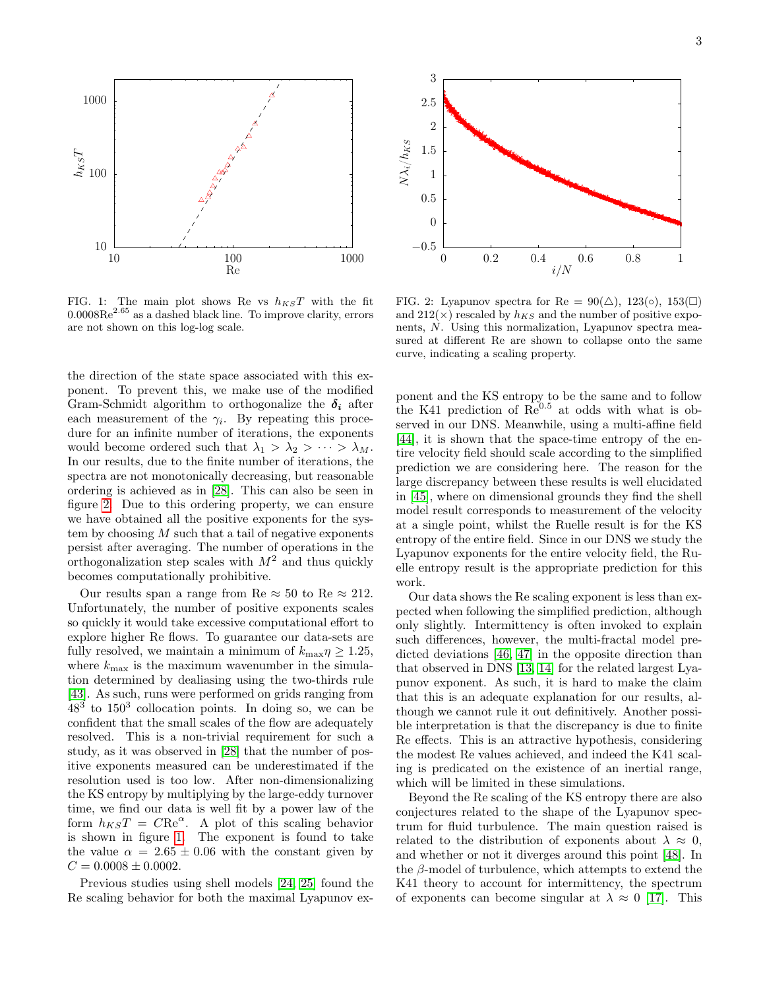

<span id="page-3-1"></span>FIG. 1: The main plot shows Re vs  $h_{KS}T$  with the fit  $0.0008\text{Re}^{2.65}$  as a dashed black line. To improve clarity, errors are not shown on this log-log scale.

the direction of the state space associated with this exponent. To prevent this, we make use of the modified Gram-Schmidt algorithm to orthogonalize the  $\delta_i$  after each measurement of the  $\gamma_i$ . By repeating this procedure for an infinite number of iterations, the exponents would become ordered such that  $\lambda_1 > \lambda_2 > \cdots > \lambda_M$ . In our results, due to the finite number of iterations, the spectra are not monotonically decreasing, but reasonable ordering is achieved as in [\[28\]](#page-6-7). This can also be seen in figure [2.](#page-3-0) Due to this ordering property, we can ensure we have obtained all the positive exponents for the system by choosing  $M$  such that a tail of negative exponents persist after averaging. The number of operations in the orthogonalization step scales with  $M^2$  and thus quickly becomes computationally prohibitive.

Our results span a range from Re  $\approx 50$  to Re  $\approx 212$ . Unfortunately, the number of positive exponents scales so quickly it would take excessive computational effort to explore higher Re flows. To guarantee our data-sets are fully resolved, we maintain a minimum of  $k_{\text{max}}\eta \geq 1.25$ , where  $k_{\text{max}}$  is the maximum wavenumber in the simulation determined by dealiasing using the two-thirds rule [\[43\]](#page-6-18). As such, runs were performed on grids ranging from  $48<sup>3</sup>$  to  $150<sup>3</sup>$  collocation points. In doing so, we can be confident that the small scales of the flow are adequately resolved. This is a non-trivial requirement for such a study, as it was observed in [\[28\]](#page-6-7) that the number of positive exponents measured can be underestimated if the resolution used is too low. After non-dimensionalizing the KS entropy by multiplying by the large-eddy turnover time, we find our data is well fit by a power law of the form  $h_{KS}T = C\text{Re}^{\alpha}$ . A plot of this scaling behavior is shown in figure [1.](#page-3-1) The exponent is found to take the value  $\alpha = 2.65 \pm 0.06$  with the constant given by  $C = 0.0008 \pm 0.0002.$ 

Previous studies using shell models [\[24,](#page-6-19) [25\]](#page-6-4) found the Re scaling behavior for both the maximal Lyapunov ex-



<span id="page-3-0"></span>FIG. 2: Lyapunov spectra for Re =  $90(\triangle)$ , 123(◦), 153(□) and  $212(x)$  rescaled by  $h_{KS}$  and the number of positive exponents, N. Using this normalization, Lyapunov spectra measured at different Re are shown to collapse onto the same curve, indicating a scaling property.

ponent and the KS entropy to be the same and to follow the K41 prediction of  $\text{Re}^{0.5}$  at odds with what is observed in our DNS. Meanwhile, using a multi-affine field [\[44\]](#page-6-20), it is shown that the space-time entropy of the entire velocity field should scale according to the simplified prediction we are considering here. The reason for the large discrepancy between these results is well elucidated in [\[45\]](#page-6-21), where on dimensional grounds they find the shell model result corresponds to measurement of the velocity at a single point, whilst the Ruelle result is for the KS entropy of the entire field. Since in our DNS we study the Lyapunov exponents for the entire velocity field, the Ruelle entropy result is the appropriate prediction for this work.

Our data shows the Re scaling exponent is less than expected when following the simplified prediction, although only slightly. Intermittency is often invoked to explain such differences, however, the multi-fractal model predicted deviations [\[46,](#page-6-22) [47\]](#page-6-23) in the opposite direction than that observed in DNS [\[13,](#page-5-9) [14\]](#page-5-10) for the related largest Lyapunov exponent. As such, it is hard to make the claim that this is an adequate explanation for our results, although we cannot rule it out definitively. Another possible interpretation is that the discrepancy is due to finite Re effects. This is an attractive hypothesis, considering the modest Re values achieved, and indeed the K41 scaling is predicated on the existence of an inertial range, which will be limited in these simulations.

Beyond the Re scaling of the KS entropy there are also conjectures related to the shape of the Lyapunov spectrum for fluid turbulence. The main question raised is related to the distribution of exponents about  $\lambda \approx 0$ , and whether or not it diverges around this point [\[48\]](#page-6-24). In the  $\beta$ -model of turbulence, which attempts to extend the K41 theory to account for intermittency, the spectrum of exponents can become singular at  $\lambda \approx 0$  [\[17\]](#page-5-13). This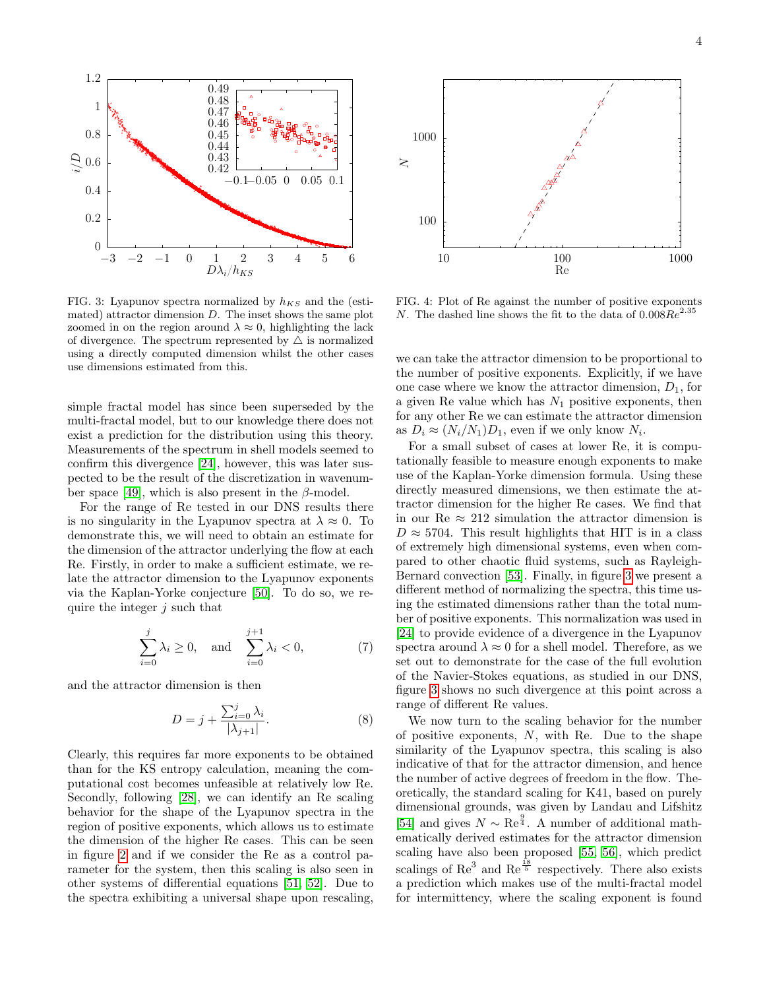

<span id="page-4-0"></span>FIG. 3: Lyapunov spectra normalized by  $h_{KS}$  and the (estimated) attractor dimension D. The inset shows the same plot zoomed in on the region around  $\lambda \approx 0$ , highlighting the lack of divergence. The spectrum represented by  $\triangle$  is normalized using a directly computed dimension whilst the other cases use dimensions estimated from this.

simple fractal model has since been superseded by the multi-fractal model, but to our knowledge there does not exist a prediction for the distribution using this theory. Measurements of the spectrum in shell models seemed to confirm this divergence [\[24\]](#page-6-19), however, this was later suspected to be the result of the discretization in wavenum-ber space [\[49\]](#page-6-25), which is also present in the  $\beta$ -model.

For the range of Re tested in our DNS results there is no singularity in the Lyapunov spectra at  $\lambda \approx 0$ . To demonstrate this, we will need to obtain an estimate for the dimension of the attractor underlying the flow at each Re. Firstly, in order to make a sufficient estimate, we relate the attractor dimension to the Lyapunov exponents via the Kaplan-Yorke conjecture [\[50\]](#page-6-26). To do so, we require the integer  $j$  such that

$$
\sum_{i=0}^{j} \lambda_i \ge 0, \quad \text{and} \quad \sum_{i=0}^{j+1} \lambda_i < 0,\tag{7}
$$

and the attractor dimension is then

$$
D = j + \frac{\sum_{i=0}^{j} \lambda_i}{|\lambda_{j+1}|}.
$$
 (8)

Clearly, this requires far more exponents to be obtained than for the KS entropy calculation, meaning the computational cost becomes unfeasible at relatively low Re. Secondly, following [\[28\]](#page-6-7), we can identify an Re scaling behavior for the shape of the Lyapunov spectra in the region of positive exponents, which allows us to estimate the dimension of the higher Re cases. This can be seen in figure [2](#page-3-0) and if we consider the Re as a control parameter for the system, then this scaling is also seen in other systems of differential equations [\[51,](#page-6-27) [52\]](#page-6-28). Due to 0.2<br>  $\frac{1}{3}$   $\frac{1}{3}$   $\frac{1}{4}$   $\frac{1}{5}$   $\frac{1}{100}$ <br>  $\frac{1}{100}$ <br>  $\frac{1}{3}$   $\frac{1}{2}$   $\frac{1}{3}$   $\frac{1}{4}$   $\frac{1}{5}$   $\frac{1}{6}$ <br>
FIG. 3: Lyapunov spectra normalized by  $h$  s and the (esti-FIG. 4:<br>
anated) attractor dim



FIG. 4: Plot of Re against the number of positive exponents N. The dashed line shows the fit to the data of  $0.008Re^{2.35}$ 

we can take the attractor dimension to be proportional to the number of positive exponents. Explicitly, if we have one case where we know the attractor dimension,  $D_1$ , for a given Re value which has  $N_1$  positive exponents, then for any other Re we can estimate the attractor dimension as  $D_i \approx (N_i/N_1)D_1$ , even if we only know  $N_i$ .

For a small subset of cases at lower Re, it is computationally feasible to measure enough exponents to make use of the Kaplan-Yorke dimension formula. Using these directly measured dimensions, we then estimate the attractor dimension for the higher Re cases. We find that in our  $\text{Re} \approx 212$  simulation the attractor dimension is  $D \approx 5704$ . This result highlights that HIT is in a class of extremely high dimensional systems, even when compared to other chaotic fluid systems, such as Rayleigh-Bernard convection [\[53\]](#page-6-29). Finally, in figure [3](#page-4-0) we present a different method of normalizing the spectra, this time using the estimated dimensions rather than the total number of positive exponents. This normalization was used in [\[24\]](#page-6-19) to provide evidence of a divergence in the Lyapunov spectra around  $\lambda \approx 0$  for a shell model. Therefore, as we set out to demonstrate for the case of the full evolution of the Navier-Stokes equations, as studied in our DNS, figure [3](#page-4-0) shows no such divergence at this point across a range of different Re values.

We now turn to the scaling behavior for the number of positive exponents,  $N$ , with Re. Due to the shape similarity of the Lyapunov spectra, this scaling is also indicative of that for the attractor dimension, and hence the number of active degrees of freedom in the flow. Theoretically, the standard scaling for K41, based on purely dimensional grounds, was given by Landau and Lifshitz [\[54\]](#page-6-30) and gives  $N \sim \text{Re}^{\frac{9}{4}}$ . A number of additional mathematically derived estimates for the attractor dimension scaling have also been proposed [\[55,](#page-6-31) [56\]](#page-6-32), which predict scalings of  $\text{Re}^3$  and  $\text{Re}^{\frac{18}{5}}$  respectively. There also exists a prediction which makes use of the multi-fractal model for intermittency, where the scaling exponent is found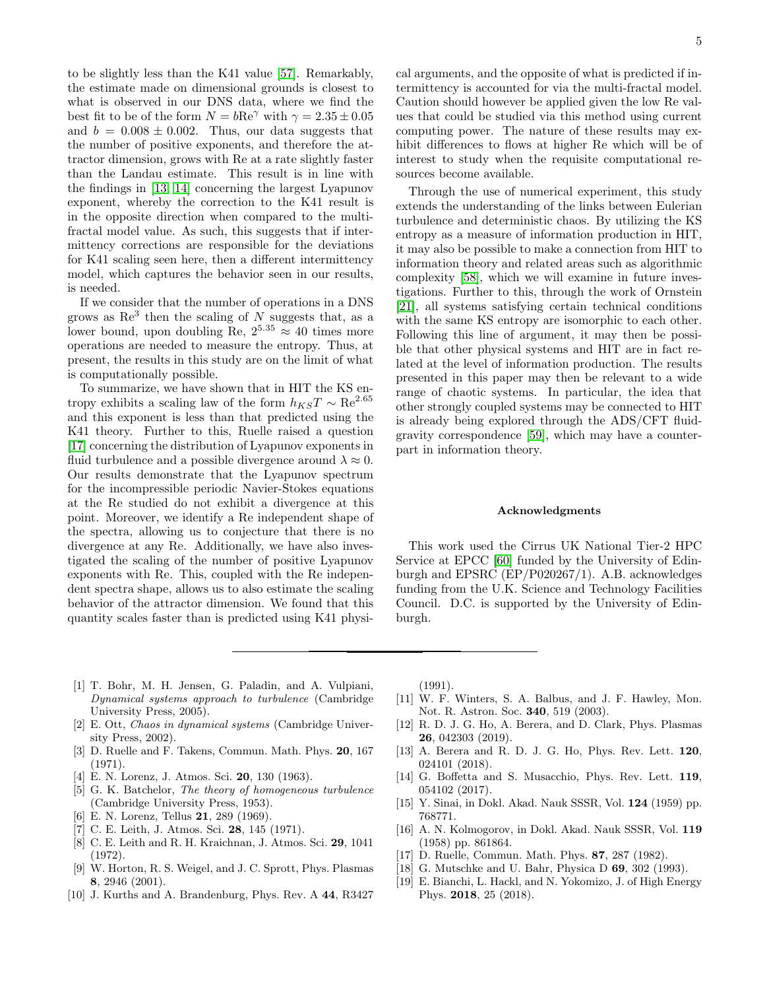to be slightly less than the K41 value [\[57\]](#page-6-33). Remarkably, the estimate made on dimensional grounds is closest to what is observed in our DNS data, where we find the best fit to be of the form  $N = b\text{Re}^{\gamma}$  with  $\gamma = 2.35 \pm 0.05$ and  $b = 0.008 \pm 0.002$ . Thus, our data suggests that the number of positive exponents, and therefore the attractor dimension, grows with Re at a rate slightly faster than the Landau estimate. This result is in line with the findings in [\[13,](#page-5-9) [14\]](#page-5-10) concerning the largest Lyapunov exponent, whereby the correction to the K41 result is in the opposite direction when compared to the multifractal model value. As such, this suggests that if intermittency corrections are responsible for the deviations for K41 scaling seen here, then a different intermittency model, which captures the behavior seen in our results, is needed.

If we consider that the number of operations in a DNS grows as  $\text{Re}^3$  then the scaling of N suggests that, as a lower bound, upon doubling Re,  $2^{5.35} \approx 40$  times more operations are needed to measure the entropy. Thus, at present, the results in this study are on the limit of what is computationally possible.

To summarize, we have shown that in HIT the KS entropy exhibits a scaling law of the form  $h_{KS}T\sim \text{Re}^{2.65}$ and this exponent is less than that predicted using the K41 theory. Further to this, Ruelle raised a question [\[17\]](#page-5-13) concerning the distribution of Lyapunov exponents in fluid turbulence and a possible divergence around  $\lambda \approx 0$ . Our results demonstrate that the Lyapunov spectrum for the incompressible periodic Navier-Stokes equations at the Re studied do not exhibit a divergence at this point. Moreover, we identify a Re independent shape of the spectra, allowing us to conjecture that there is no divergence at any Re. Additionally, we have also investigated the scaling of the number of positive Lyapunov exponents with Re. This, coupled with the Re independent spectra shape, allows us to also estimate the scaling behavior of the attractor dimension. We found that this quantity scales faster than is predicted using K41 physical arguments, and the opposite of what is predicted if intermittency is accounted for via the multi-fractal model. Caution should however be applied given the low Re values that could be studied via this method using current computing power. The nature of these results may exhibit differences to flows at higher Re which will be of interest to study when the requisite computational resources become available.

Through the use of numerical experiment, this study extends the understanding of the links between Eulerian turbulence and deterministic chaos. By utilizing the KS entropy as a measure of information production in HIT, it may also be possible to make a connection from HIT to information theory and related areas such as algorithmic complexity [\[58\]](#page-6-34), which we will examine in future investigations. Further to this, through the work of Ornstein [\[21\]](#page-6-1), all systems satisfying certain technical conditions with the same KS entropy are isomorphic to each other. Following this line of argument, it may then be possible that other physical systems and HIT are in fact related at the level of information production. The results presented in this paper may then be relevant to a wide range of chaotic systems. In particular, the idea that other strongly coupled systems may be connected to HIT is already being explored through the ADS/CFT fluidgravity correspondence [\[59\]](#page-6-35), which may have a counterpart in information theory.

### Acknowledgments

This work used the Cirrus UK National Tier-2 HPC Service at EPCC [\[60\]](#page-6-36) funded by the University of Edinburgh and EPSRC (EP/P020267/1). A.B. acknowledges funding from the U.K. Science and Technology Facilities Council. D.C. is supported by the University of Edinburgh.

- <span id="page-5-0"></span>[1] T. Bohr, M. H. Jensen, G. Paladin, and A. Vulpiani, Dynamical systems approach to turbulence (Cambridge University Press, 2005).
- <span id="page-5-1"></span>[2] E. Ott, Chaos in dynamical systems (Cambridge University Press, 2002).
- <span id="page-5-2"></span>[3] D. Ruelle and F. Takens, Commun. Math. Phys. 20, 167 (1971).
- <span id="page-5-3"></span>[4] E. N. Lorenz, J. Atmos. Sci. 20, 130 (1963).
- <span id="page-5-4"></span>[5] G. K. Batchelor, The theory of homogeneous turbulence (Cambridge University Press, 1953).
- <span id="page-5-5"></span>[6] E. N. Lorenz, Tellus 21, 289 (1969).
- [7] C. E. Leith, J. Atmos. Sci. 28, 145 (1971).
- <span id="page-5-6"></span>[8] C. E. Leith and R. H. Kraichnan, J. Atmos. Sci. 29, 1041 (1972).
- <span id="page-5-7"></span>[9] W. Horton, R. S. Weigel, and J. C. Sprott, Phys. Plasmas 8, 2946 (2001).
- [10] J. Kurths and A. Brandenburg, Phys. Rev. A 44, R3427

(1991).

- [11] W. F. Winters, S. A. Balbus, and J. F. Hawley, Mon. Not. R. Astron. Soc. 340, 519 (2003).
- <span id="page-5-8"></span>[12] R. D. J. G. Ho, A. Berera, and D. Clark, Phys. Plasmas 26, 042303 (2019).
- <span id="page-5-9"></span>[13] A. Berera and R. D. J. G. Ho, Phys. Rev. Lett. 120, 024101 (2018).
- <span id="page-5-10"></span>[14] G. Boffetta and S. Musacchio, Phys. Rev. Lett. **119**, 054102 (2017).
- <span id="page-5-11"></span>[15] Y. Sinai, in Dokl. Akad. Nauk SSSR, Vol. 124 (1959) pp. 768771.
- <span id="page-5-12"></span>[16] A. N. Kolmogorov, in Dokl. Akad. Nauk SSSR, Vol. 119 (1958) pp. 861864.
- <span id="page-5-13"></span>[17] D. Ruelle, Commun. Math. Phys. 87, 287 (1982).
- <span id="page-5-14"></span>[18] G. Mutschke and U. Bahr, Physica D 69, 302 (1993).
- <span id="page-5-15"></span>[19] E. Bianchi, L. Hackl, and N. Yokomizo, J. of High Energy Phys. 2018, 25 (2018).